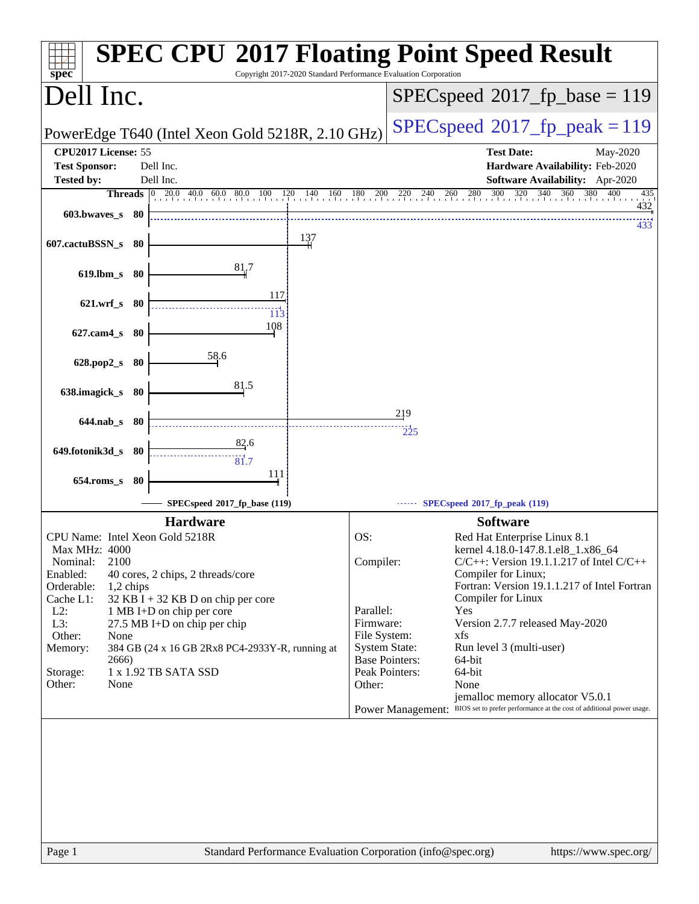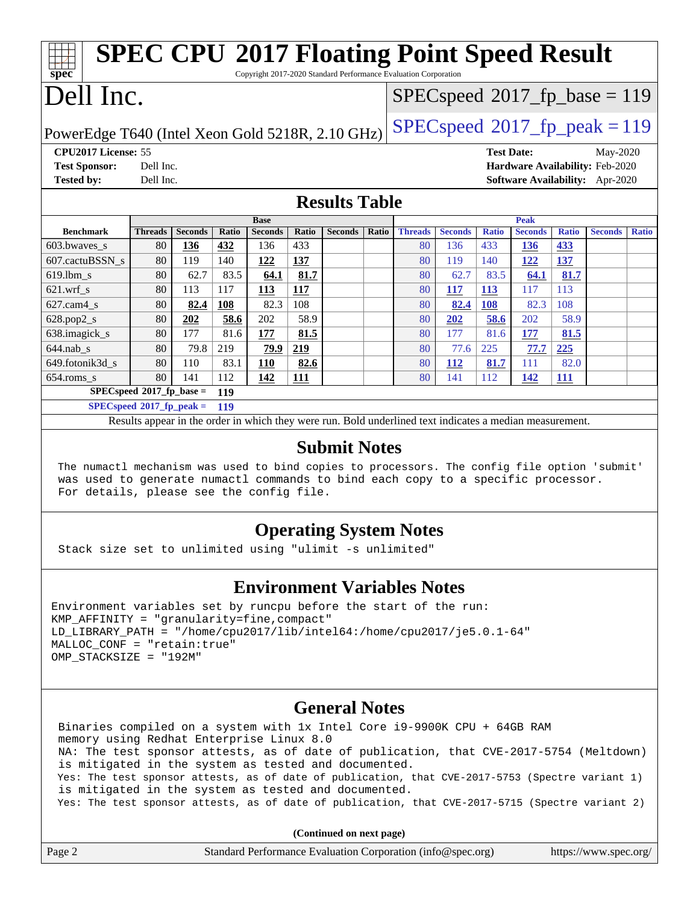| <b>SPEC CPU®2017 Floating Point Speed Result</b><br>spec<br>Copyright 2017-2020 Standard Performance Evaluation Corporation |                |                |       |                |              |                                          |       |                |                |                   |                |              |                                        |              |
|-----------------------------------------------------------------------------------------------------------------------------|----------------|----------------|-------|----------------|--------------|------------------------------------------|-------|----------------|----------------|-------------------|----------------|--------------|----------------------------------------|--------------|
| Dell Inc.                                                                                                                   |                |                |       |                |              | $SPEC speed^{\circ}2017\_fp\_base = 119$ |       |                |                |                   |                |              |                                        |              |
| $SPEC speed^{\circ}2017$ _fp_peak = 119<br>PowerEdge T640 (Intel Xeon Gold 5218R, 2.10 GHz)                                 |                |                |       |                |              |                                          |       |                |                |                   |                |              |                                        |              |
| CPU2017 License: 55                                                                                                         |                |                |       |                |              |                                          |       |                |                | <b>Test Date:</b> |                |              | May-2020                               |              |
| <b>Test Sponsor:</b>                                                                                                        | Dell Inc.      |                |       |                |              |                                          |       |                |                |                   |                |              | Hardware Availability: Feb-2020        |              |
| <b>Tested by:</b>                                                                                                           | Dell Inc.      |                |       |                |              |                                          |       |                |                |                   |                |              | <b>Software Availability:</b> Apr-2020 |              |
|                                                                                                                             |                |                |       |                |              |                                          |       |                |                |                   |                |              |                                        |              |
|                                                                                                                             |                |                |       |                |              | <b>Results Table</b>                     |       |                |                |                   |                |              |                                        |              |
|                                                                                                                             |                | <b>Base</b>    |       |                |              |                                          |       | <b>Peak</b>    |                |                   |                |              |                                        |              |
| <b>Benchmark</b>                                                                                                            |                |                |       |                |              |                                          |       |                |                |                   |                |              |                                        |              |
|                                                                                                                             | <b>Threads</b> | <b>Seconds</b> | Ratio | <b>Seconds</b> | <b>Ratio</b> | <b>Seconds</b>                           | Ratio | <b>Threads</b> | <b>Seconds</b> | <b>Ratio</b>      | <b>Seconds</b> | <b>Ratio</b> | <b>Seconds</b>                         | <b>Ratio</b> |
| 603.bwaves_s                                                                                                                | 80             | 136            | 432   | 136            | 433          |                                          |       | 80             | 136            | 433               | 136            | 433          |                                        |              |
| 607.cactuBSSN s                                                                                                             | 80             | 119            | 140   | 122            | 137          |                                          |       | 80             | 119            | 140               | <u>122</u>     | 137          |                                        |              |
| $619.$ lbm_s                                                                                                                | 80             | 62.7           | 83.5  | 64.1           | 81.7         |                                          |       | 80             | 62.7           | 83.5              | 64.1           | 81.7         |                                        |              |
| $621$ .wrf s                                                                                                                | 80             | 113            | 117   | 113            | 117          |                                          |       | 80             | <b>117</b>     | <b>113</b>        | 117            | 113          |                                        |              |
| 627.cam4_s                                                                                                                  | 80             | 82.4           | 108   | 82.3           | 108          |                                          |       | 80             | 82.4           | 108               | 82.3           | 108          |                                        |              |
| 628.pop2_s                                                                                                                  | 80             | 202            | 58.6  | 202            | 58.9         |                                          |       | 80             | 202            | 58.6              | 202            | 58.9         |                                        |              |
| 638. imagick_s                                                                                                              | 80             | 177            | 81.6  | 177            | 81.5         |                                          |       | 80             | 177            | 81.6              | 177            | 81.5         |                                        |              |
| $644$ .nab $_s$                                                                                                             | 80             | 79.8           | 219   | 79.9           | 219          |                                          |       | 80             | 77.6           | 225               | 77.7           | 225          |                                        |              |
| 649.fotonik3d s                                                                                                             | 80             | 110            | 83.1  | <b>110</b>     | 82.6         |                                          |       | 80             | <b>112</b>     | 81.7              | 111            | 82.0         |                                        |              |

**[SPECspeed](http://www.spec.org/auto/cpu2017/Docs/result-fields.html#SPECspeed2017fpbase)[2017\\_fp\\_base =](http://www.spec.org/auto/cpu2017/Docs/result-fields.html#SPECspeed2017fpbase) 119 [SPECspeed](http://www.spec.org/auto/cpu2017/Docs/result-fields.html#SPECspeed2017fppeak)[2017\\_fp\\_peak =](http://www.spec.org/auto/cpu2017/Docs/result-fields.html#SPECspeed2017fppeak) 119**

Results appear in the [order in which they were run.](http://www.spec.org/auto/cpu2017/Docs/result-fields.html#RunOrder) Bold underlined text [indicates a median measurement.](http://www.spec.org/auto/cpu2017/Docs/result-fields.html#Median)

#### **[Submit Notes](http://www.spec.org/auto/cpu2017/Docs/result-fields.html#SubmitNotes)**

 The numactl mechanism was used to bind copies to processors. The config file option 'submit' was used to generate numactl commands to bind each copy to a specific processor. For details, please see the config file.

#### **[Operating System Notes](http://www.spec.org/auto/cpu2017/Docs/result-fields.html#OperatingSystemNotes)**

Stack size set to unlimited using "ulimit -s unlimited"

#### **[Environment Variables Notes](http://www.spec.org/auto/cpu2017/Docs/result-fields.html#EnvironmentVariablesNotes)**

Environment variables set by runcpu before the start of the run: KMP\_AFFINITY = "granularity=fine,compact" LD\_LIBRARY\_PATH = "/home/cpu2017/lib/intel64:/home/cpu2017/je5.0.1-64" MALLOC\_CONF = "retain:true" OMP\_STACKSIZE = "192M"

#### **[General Notes](http://www.spec.org/auto/cpu2017/Docs/result-fields.html#GeneralNotes)**

 Binaries compiled on a system with 1x Intel Core i9-9900K CPU + 64GB RAM memory using Redhat Enterprise Linux 8.0 NA: The test sponsor attests, as of date of publication, that CVE-2017-5754 (Meltdown) is mitigated in the system as tested and documented. Yes: The test sponsor attests, as of date of publication, that CVE-2017-5753 (Spectre variant 1) is mitigated in the system as tested and documented. Yes: The test sponsor attests, as of date of publication, that CVE-2017-5715 (Spectre variant 2)

**(Continued on next page)**

| Page 2 | Standard Performance Evaluation Corporation (info@spec.org) | https://www.spec.org/ |
|--------|-------------------------------------------------------------|-----------------------|
|        |                                                             |                       |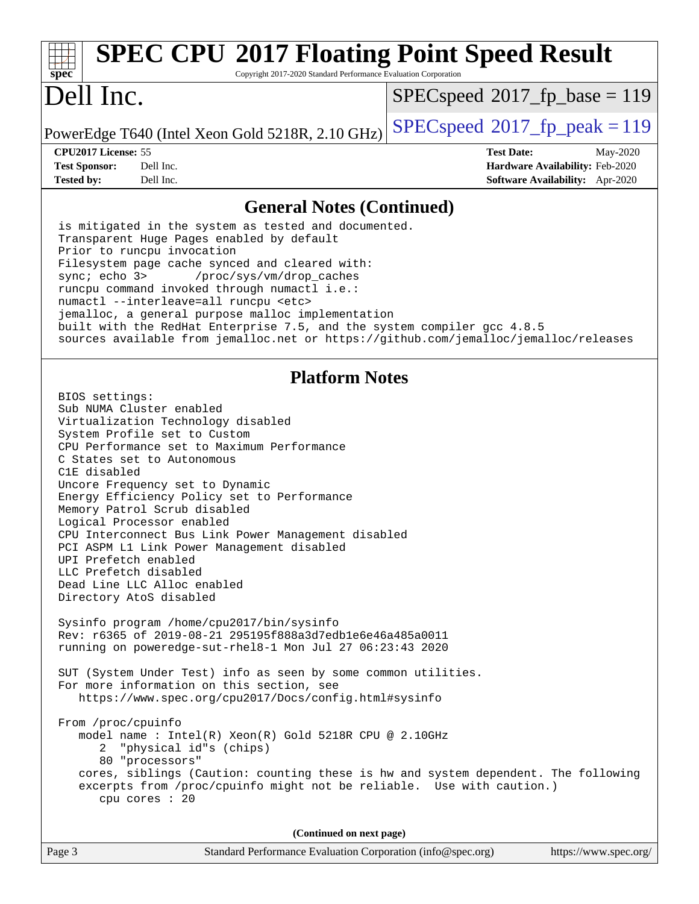#### **[spec](http://www.spec.org/) [SPEC CPU](http://www.spec.org/auto/cpu2017/Docs/result-fields.html#SPECCPU2017FloatingPointSpeedResult)[2017 Floating Point Speed Result](http://www.spec.org/auto/cpu2017/Docs/result-fields.html#SPECCPU2017FloatingPointSpeedResult)** Copyright 2017-2020 Standard Performance Evaluation Corporation Dell Inc. PowerEdge T640 (Intel Xeon Gold 5218R, 2.10 GHz)  $\left|$  [SPECspeed](http://www.spec.org/auto/cpu2017/Docs/result-fields.html#SPECspeed2017fppeak)<sup>®</sup>[2017\\_fp\\_peak = 1](http://www.spec.org/auto/cpu2017/Docs/result-fields.html#SPECspeed2017fppeak)19  $SPEC speed^{\circ}2017\_fp\_base = 119$ **[CPU2017 License:](http://www.spec.org/auto/cpu2017/Docs/result-fields.html#CPU2017License)** 55 **[Test Date:](http://www.spec.org/auto/cpu2017/Docs/result-fields.html#TestDate)** May-2020 **[Test Sponsor:](http://www.spec.org/auto/cpu2017/Docs/result-fields.html#TestSponsor)** Dell Inc. **[Hardware Availability:](http://www.spec.org/auto/cpu2017/Docs/result-fields.html#HardwareAvailability)** Feb-2020 **[Tested by:](http://www.spec.org/auto/cpu2017/Docs/result-fields.html#Testedby)** Dell Inc. **[Software Availability:](http://www.spec.org/auto/cpu2017/Docs/result-fields.html#SoftwareAvailability)** Apr-2020 **[General Notes \(Continued\)](http://www.spec.org/auto/cpu2017/Docs/result-fields.html#GeneralNotes)** is mitigated in the system as tested and documented. Transparent Huge Pages enabled by default Prior to runcpu invocation Filesystem page cache synced and cleared with: sync; echo 3> /proc/sys/vm/drop\_caches runcpu command invoked through numactl i.e.: numactl --interleave=all runcpu <etc> jemalloc, a general purpose malloc implementation built with the RedHat Enterprise 7.5, and the system compiler gcc 4.8.5 sources available from jemalloc.net or <https://github.com/jemalloc/jemalloc/releases> **[Platform Notes](http://www.spec.org/auto/cpu2017/Docs/result-fields.html#PlatformNotes)** BIOS settings: Sub NUMA Cluster enabled Virtualization Technology disabled System Profile set to Custom CPU Performance set to Maximum Performance C States set to Autonomous C1E disabled Uncore Frequency set to Dynamic Energy Efficiency Policy set to Performance Memory Patrol Scrub disabled Logical Processor enabled CPU Interconnect Bus Link Power Management disabled PCI ASPM L1 Link Power Management disabled UPI Prefetch enabled LLC Prefetch disabled Dead Line LLC Alloc enabled Directory AtoS disabled Sysinfo program /home/cpu2017/bin/sysinfo Rev: r6365 of 2019-08-21 295195f888a3d7edb1e6e46a485a0011 running on poweredge-sut-rhel8-1 Mon Jul 27 06:23:43 2020 SUT (System Under Test) info as seen by some common utilities. For more information on this section, see <https://www.spec.org/cpu2017/Docs/config.html#sysinfo> From /proc/cpuinfo model name : Intel(R) Xeon(R) Gold 5218R CPU @ 2.10GHz 2 "physical id"s (chips) 80 "processors" cores, siblings (Caution: counting these is hw and system dependent. The following excerpts from /proc/cpuinfo might not be reliable. Use with caution.)

**(Continued on next page)**

cpu cores : 20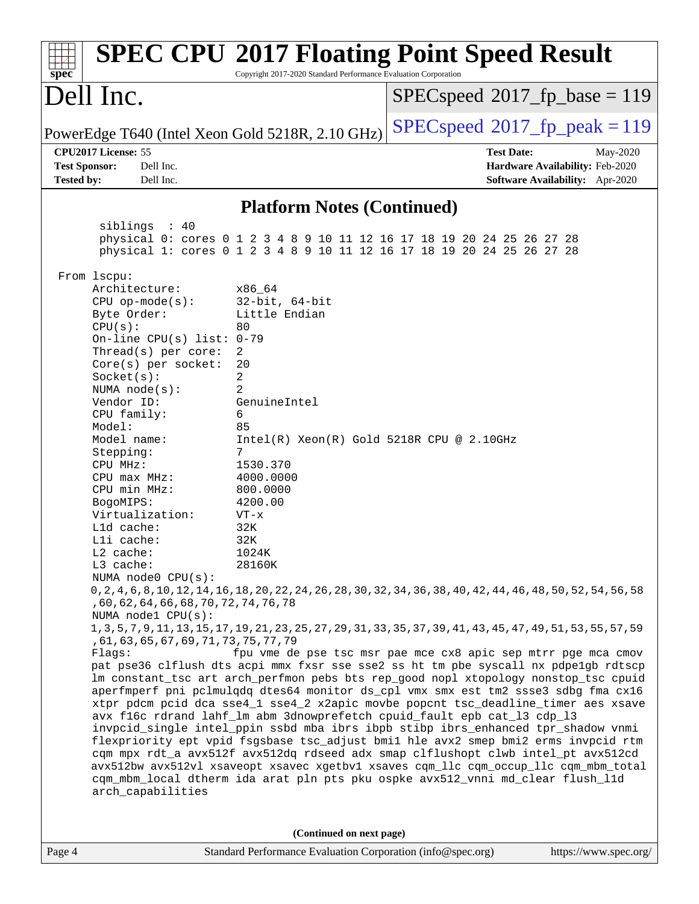| $sp\overline{ec}$                                                                          | Copyright 2017-2020 Standard Performance Evaluation Corporation | <b>SPEC CPU®2017 Floating Point Speed Result</b>                                                                                                                       |
|--------------------------------------------------------------------------------------------|-----------------------------------------------------------------|------------------------------------------------------------------------------------------------------------------------------------------------------------------------|
| Dell Inc.                                                                                  |                                                                 | $SPEC speed^{\circ}2017\_fp\_base = 119$                                                                                                                               |
| PowerEdge T640 (Intel Xeon Gold 5218R, 2.10 GHz)                                           |                                                                 | $SPEC speed^{\circ}2017$ fp peak = 119                                                                                                                                 |
| CPU2017 License: 55<br><b>Test Sponsor:</b><br>Dell Inc.<br><b>Tested by:</b><br>Dell Inc. |                                                                 | <b>Test Date:</b><br>May-2020<br>Hardware Availability: Feb-2020<br>Software Availability: Apr-2020                                                                    |
|                                                                                            |                                                                 |                                                                                                                                                                        |
|                                                                                            | <b>Platform Notes (Continued)</b>                               |                                                                                                                                                                        |
| siblings : 40                                                                              |                                                                 | physical 0: cores 0 1 2 3 4 8 9 10 11 12 16 17 18 19 20 24 25 26 27 28<br>physical 1: cores 0 1 2 3 4 8 9 10 11 12 16 17 18 19 20 24 25 26 27 28                       |
| From lscpu:                                                                                |                                                                 |                                                                                                                                                                        |
| Architecture:                                                                              | x86_64                                                          |                                                                                                                                                                        |
| $CPU$ op-mode(s):<br>Byte Order:                                                           | $32$ -bit, $64$ -bit<br>Little Endian                           |                                                                                                                                                                        |
| CPU(s):                                                                                    | 80                                                              |                                                                                                                                                                        |
| On-line CPU(s) list: $0-79$                                                                |                                                                 |                                                                                                                                                                        |
| Thread( $s$ ) per core:                                                                    | 2                                                               |                                                                                                                                                                        |
| Core(s) per socket:<br>Socket(s):                                                          | 20<br>2                                                         |                                                                                                                                                                        |
| NUMA $node(s)$ :                                                                           | 2                                                               |                                                                                                                                                                        |
| Vendor ID:                                                                                 | GenuineIntel                                                    |                                                                                                                                                                        |
| CPU family:                                                                                | 6                                                               |                                                                                                                                                                        |
| Model:<br>Model name:                                                                      | 85<br>$Intel(R) Xeon(R) Gold 5218R CPU @ 2.10GHz$               |                                                                                                                                                                        |
| Stepping:                                                                                  | $7\phantom{.}$                                                  |                                                                                                                                                                        |
| CPU MHz:                                                                                   | 1530.370                                                        |                                                                                                                                                                        |
| $CPU$ $max$ $MHz$ :<br>CPU min MHz:                                                        | 4000.0000<br>800.0000                                           |                                                                                                                                                                        |
| BogoMIPS:                                                                                  | 4200.00                                                         |                                                                                                                                                                        |
| Virtualization:                                                                            | $VT - x$                                                        |                                                                                                                                                                        |
| L1d cache:                                                                                 | 32K                                                             |                                                                                                                                                                        |
| Lli cache:<br>$L2$ cache:                                                                  | 32K<br>1024K                                                    |                                                                                                                                                                        |
| L3 cache:                                                                                  | 28160K                                                          |                                                                                                                                                                        |
| NUMA node0 CPU(s):                                                                         |                                                                 |                                                                                                                                                                        |
|                                                                                            |                                                                 | 0, 2, 4, 6, 8, 10, 12, 14, 16, 18, 20, 22, 24, 26, 28, 30, 32, 34, 36, 38, 40, 42, 44, 46, 48, 50, 52, 54, 56, 58                                                      |
| , 60, 62, 64, 66, 68, 70, 72, 74, 76, 78<br>NUMA node1 CPU(s):                             |                                                                 |                                                                                                                                                                        |
|                                                                                            |                                                                 | 1, 3, 5, 7, 9, 11, 13, 15, 17, 19, 21, 23, 25, 27, 29, 31, 33, 35, 37, 39, 41, 43, 45, 47, 49, 51, 53, 55, 57, 59                                                      |
| , 61, 63, 65, 67, 69, 71, 73, 75, 77, 79                                                   |                                                                 |                                                                                                                                                                        |
| Flagg:                                                                                     |                                                                 | fpu vme de pse tsc msr pae mce cx8 apic sep mtrr pge mca cmov<br>pat pse36 clflush dts acpi mmx fxsr sse sse2 ss ht tm pbe syscall nx pdpelgb rdtscp                   |
|                                                                                            |                                                                 | lm constant_tsc art arch_perfmon pebs bts rep_good nopl xtopology nonstop_tsc cpuid                                                                                    |
|                                                                                            |                                                                 | aperfmperf pni pclmulqdq dtes64 monitor ds_cpl vmx smx est tm2 ssse3 sdbg fma cx16                                                                                     |
|                                                                                            |                                                                 | xtpr pdcm pcid dca sse4_1 sse4_2 x2apic movbe popcnt tsc_deadline_timer aes xsave                                                                                      |
|                                                                                            |                                                                 | avx f16c rdrand lahf_lm abm 3dnowprefetch cpuid_fault epb cat_13 cdp_13<br>invpcid_single intel_ppin ssbd mba ibrs ibpb stibp ibrs_enhanced tpr_shadow vnmi            |
|                                                                                            |                                                                 | flexpriority ept vpid fsgsbase tsc_adjust bmil hle avx2 smep bmi2 erms invpcid rtm                                                                                     |
|                                                                                            |                                                                 | cqm mpx rdt_a avx512f avx512dq rdseed adx smap clflushopt clwb intel_pt avx512cd                                                                                       |
| arch_capabilities                                                                          |                                                                 | avx512bw avx512vl xsaveopt xsavec xgetbvl xsaves cqm_llc cqm_occup_llc cqm_mbm_total<br>cqm_mbm_local dtherm ida arat pln pts pku ospke avx512_vnni md_clear flush_lld |
|                                                                                            |                                                                 |                                                                                                                                                                        |
|                                                                                            | (Continued on next page)                                        |                                                                                                                                                                        |
| Page 4                                                                                     | Standard Performance Evaluation Corporation (info@spec.org)     | https://www.spec.org/                                                                                                                                                  |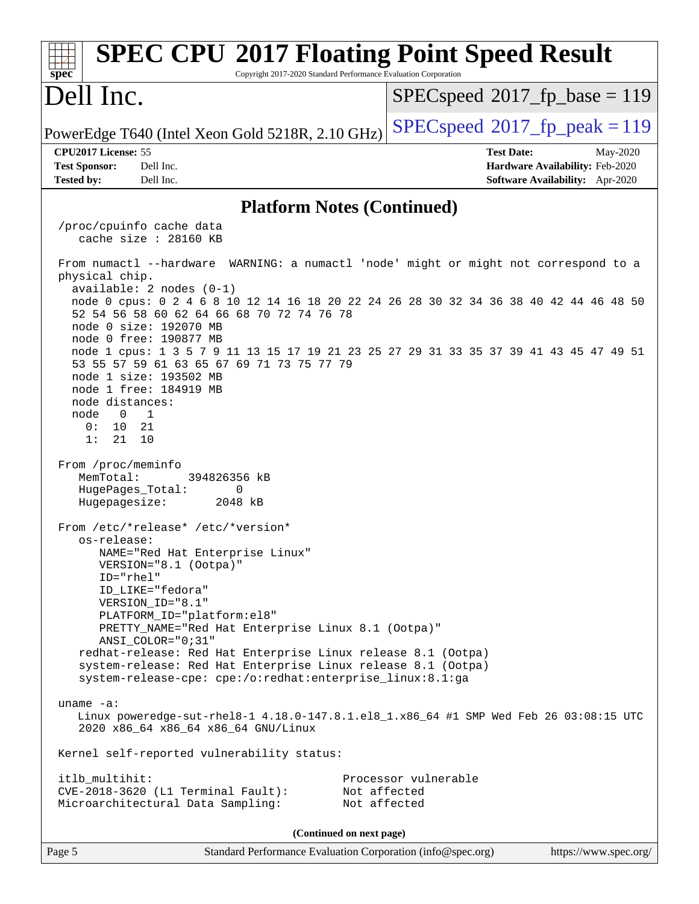| <b>SPEC CPU®2017 Floating Point Speed Result</b><br>spec<br>Copyright 2017-2020 Standard Performance Evaluation Corporation                                                                                      |                                                                           |
|------------------------------------------------------------------------------------------------------------------------------------------------------------------------------------------------------------------|---------------------------------------------------------------------------|
| Dell Inc.                                                                                                                                                                                                        | $SPEC speed^{\circ}2017\_fp\_base = 119$                                  |
| PowerEdge T640 (Intel Xeon Gold 5218R, 2.10 GHz)                                                                                                                                                                 | $SPEC speed^{\circ}2017$ fp peak = 119                                    |
| CPU2017 License: 55                                                                                                                                                                                              | <b>Test Date:</b><br>May-2020                                             |
| <b>Test Sponsor:</b><br>Dell Inc.<br><b>Tested by:</b><br>Dell Inc.                                                                                                                                              | Hardware Availability: Feb-2020<br><b>Software Availability:</b> Apr-2020 |
|                                                                                                                                                                                                                  |                                                                           |
| <b>Platform Notes (Continued)</b>                                                                                                                                                                                |                                                                           |
| /proc/cpuinfo cache data<br>cache size $: 28160$ KB                                                                                                                                                              |                                                                           |
| From numactl --hardware WARNING: a numactl 'node' might or might not correspond to a<br>physical chip.                                                                                                           |                                                                           |
| $available: 2 nodes (0-1)$<br>node 0 cpus: 0 2 4 6 8 10 12 14 16 18 20 22 24 26 28 30 32 34 36 38 40 42 44 46 48 50<br>52 54 56 58 60 62 64 66 68 70 72 74 76 78<br>node 0 size: 192070 MB                       |                                                                           |
| node 0 free: 190877 MB<br>node 1 cpus: 1 3 5 7 9 11 13 15 17 19 21 23 25 27 29 31 33 35 37 39 41 43 45 47 49 51<br>53 55 57 59 61 63 65 67 69 71 73 75 77 79<br>node 1 size: 193502 MB<br>node 1 free: 184919 MB |                                                                           |
| node distances:<br>node<br>$\overline{0}$<br>$\overline{1}$<br>0:<br>10<br>21<br>1:<br>21<br>10                                                                                                                  |                                                                           |
| From /proc/meminfo<br>MemTotal:<br>394826356 kB<br>HugePages_Total:<br>0<br>Hugepagesize:<br>2048 kB                                                                                                             |                                                                           |
| From /etc/*release* /etc/*version*                                                                                                                                                                               |                                                                           |
| os-release:<br>NAME="Red Hat Enterprise Linux"<br>VERSION="8.1 (Ootpa)"                                                                                                                                          |                                                                           |
| $ID="rhe1"$<br>ID_LIKE="fedora"<br>VERSION_ID="8.1"                                                                                                                                                              |                                                                           |
| PLATFORM_ID="platform:el8"<br>PRETTY_NAME="Red Hat Enterprise Linux 8.1 (Ootpa)"<br>ANSI COLOR="0;31"                                                                                                            |                                                                           |
| redhat-release: Red Hat Enterprise Linux release 8.1 (Ootpa)<br>system-release: Red Hat Enterprise Linux release 8.1 (Ootpa)<br>system-release-cpe: cpe:/o:redhat:enterprise_linux:8.1:ga                        |                                                                           |
| uname $-a$ :<br>Linux poweredge-sut-rhel8-1 4.18.0-147.8.1.el8_1.x86_64 #1 SMP Wed Feb 26 03:08:15 UTC<br>2020 x86_64 x86_64 x86_64 GNU/Linux                                                                    |                                                                           |
| Kernel self-reported vulnerability status:                                                                                                                                                                       |                                                                           |
| itlb_multihit:<br>$CVE-2018-3620$ (L1 Terminal Fault):<br>Not affected<br>Microarchitectural Data Sampling:<br>Not affected                                                                                      | Processor vulnerable                                                      |
| (Continued on next page)                                                                                                                                                                                         |                                                                           |
| Standard Performance Evaluation Corporation (info@spec.org)<br>Page 5                                                                                                                                            | https://www.spec.org/                                                     |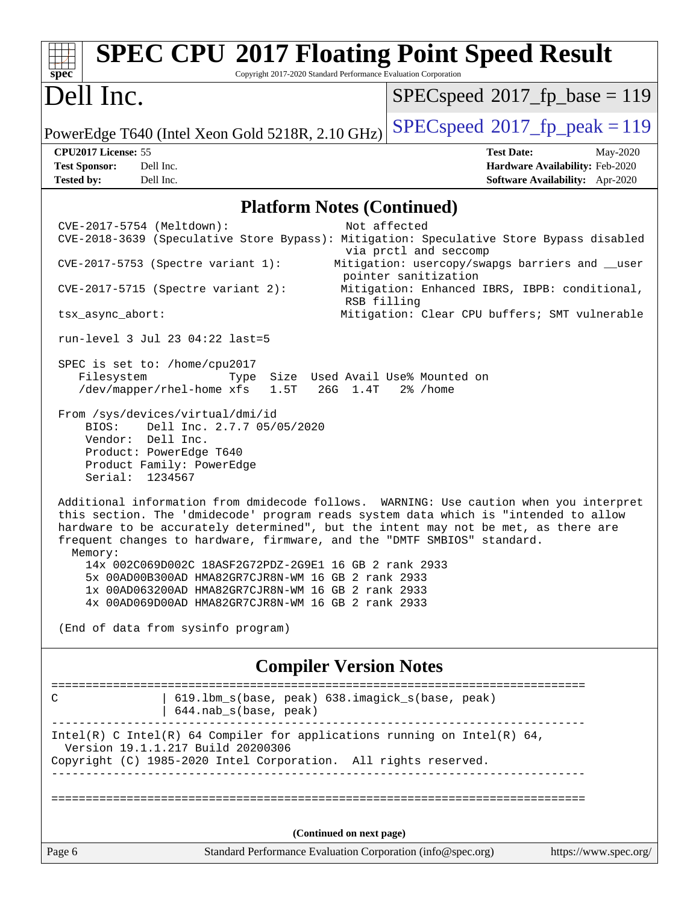| <b>SPEC CPU®2017 Floating Point Speed Result</b><br>Copyright 2017-2020 Standard Performance Evaluation Corporation<br>$\mathbf{spec}^*$                                                                                                                                                                                                                                                                                                                                                                                                                                                                                                                                                                                                                                                                                                                                                                                   |                                                                                                                                                                   |  |  |  |
|----------------------------------------------------------------------------------------------------------------------------------------------------------------------------------------------------------------------------------------------------------------------------------------------------------------------------------------------------------------------------------------------------------------------------------------------------------------------------------------------------------------------------------------------------------------------------------------------------------------------------------------------------------------------------------------------------------------------------------------------------------------------------------------------------------------------------------------------------------------------------------------------------------------------------|-------------------------------------------------------------------------------------------------------------------------------------------------------------------|--|--|--|
| Dell Inc.                                                                                                                                                                                                                                                                                                                                                                                                                                                                                                                                                                                                                                                                                                                                                                                                                                                                                                                  | $SPEC speed^{\circ}2017\_fp\_base = 119$                                                                                                                          |  |  |  |
| PowerEdge T640 (Intel Xeon Gold 5218R, 2.10 GHz)                                                                                                                                                                                                                                                                                                                                                                                                                                                                                                                                                                                                                                                                                                                                                                                                                                                                           | $SPEC speed^{\circ}2017$ _fp_peak = 119                                                                                                                           |  |  |  |
| CPU2017 License: 55<br>Dell Inc.<br><b>Test Sponsor:</b><br><b>Tested by:</b><br>Dell Inc.                                                                                                                                                                                                                                                                                                                                                                                                                                                                                                                                                                                                                                                                                                                                                                                                                                 | <b>Test Date:</b><br>May-2020<br>Hardware Availability: Feb-2020<br><b>Software Availability:</b> Apr-2020                                                        |  |  |  |
| <b>Platform Notes (Continued)</b>                                                                                                                                                                                                                                                                                                                                                                                                                                                                                                                                                                                                                                                                                                                                                                                                                                                                                          |                                                                                                                                                                   |  |  |  |
| CVE-2017-5754 (Meltdown):<br>CVE-2018-3639 (Speculative Store Bypass): Mitigation: Speculative Store Bypass disabled<br>$CVE-2017-5753$ (Spectre variant 1):<br>$CVE-2017-5715$ (Spectre variant 2):<br>RSB filling                                                                                                                                                                                                                                                                                                                                                                                                                                                                                                                                                                                                                                                                                                        | Not affected<br>via prctl and seccomp<br>Mitigation: usercopy/swapgs barriers and __user<br>pointer sanitization<br>Mitigation: Enhanced IBRS, IBPB: conditional, |  |  |  |
| tsx_async_abort:                                                                                                                                                                                                                                                                                                                                                                                                                                                                                                                                                                                                                                                                                                                                                                                                                                                                                                           | Mitigation: Clear CPU buffers; SMT vulnerable                                                                                                                     |  |  |  |
| run-level 3 Jul 23 04:22 last=5<br>SPEC is set to: /home/cpu2017<br>Filesystem<br>Size Used Avail Use% Mounted on<br>Type<br>/dev/mapper/rhel-home xfs<br>1.5T<br>26G 1.4T<br>From /sys/devices/virtual/dmi/id<br>Dell Inc. 2.7.7 05/05/2020<br>BIOS:<br>Vendor: Dell Inc.<br>Product: PowerEdge T640<br>Product Family: PowerEdge<br>Serial: 1234567<br>Additional information from dmidecode follows. WARNING: Use caution when you interpret<br>this section. The 'dmidecode' program reads system data which is "intended to allow<br>hardware to be accurately determined", but the intent may not be met, as there are<br>frequent changes to hardware, firmware, and the "DMTF SMBIOS" standard.<br>Memory:<br>5x 00AD00B300AD HMA82GR7CJR8N-WM 16 GB 2 rank 2933<br>1x 00AD063200AD HMA82GR7CJR8N-WM 16 GB 2 rank 2933<br>4x 00AD069D00AD HMA82GR7CJR8N-WM 16 GB 2 rank 2933<br>(End of data from sysinfo program) | 2% /home                                                                                                                                                          |  |  |  |
| <b>Compiler Version Notes</b>                                                                                                                                                                                                                                                                                                                                                                                                                                                                                                                                                                                                                                                                                                                                                                                                                                                                                              |                                                                                                                                                                   |  |  |  |
| 619.1bm_s(base, peak) 638.imagick_s(base, peak)<br>C<br>644.nab_s(base, peak)                                                                                                                                                                                                                                                                                                                                                                                                                                                                                                                                                                                                                                                                                                                                                                                                                                              |                                                                                                                                                                   |  |  |  |
| Intel(R) C Intel(R) 64 Compiler for applications running on Intel(R) 64,<br>Version 19.1.1.217 Build 20200306<br>Copyright (C) 1985-2020 Intel Corporation. All rights reserved.                                                                                                                                                                                                                                                                                                                                                                                                                                                                                                                                                                                                                                                                                                                                           |                                                                                                                                                                   |  |  |  |
|                                                                                                                                                                                                                                                                                                                                                                                                                                                                                                                                                                                                                                                                                                                                                                                                                                                                                                                            |                                                                                                                                                                   |  |  |  |
| (Continued on next page)                                                                                                                                                                                                                                                                                                                                                                                                                                                                                                                                                                                                                                                                                                                                                                                                                                                                                                   |                                                                                                                                                                   |  |  |  |
| Page 6<br>Standard Performance Evaluation Corporation (info@spec.org)                                                                                                                                                                                                                                                                                                                                                                                                                                                                                                                                                                                                                                                                                                                                                                                                                                                      | https://www.spec.org/                                                                                                                                             |  |  |  |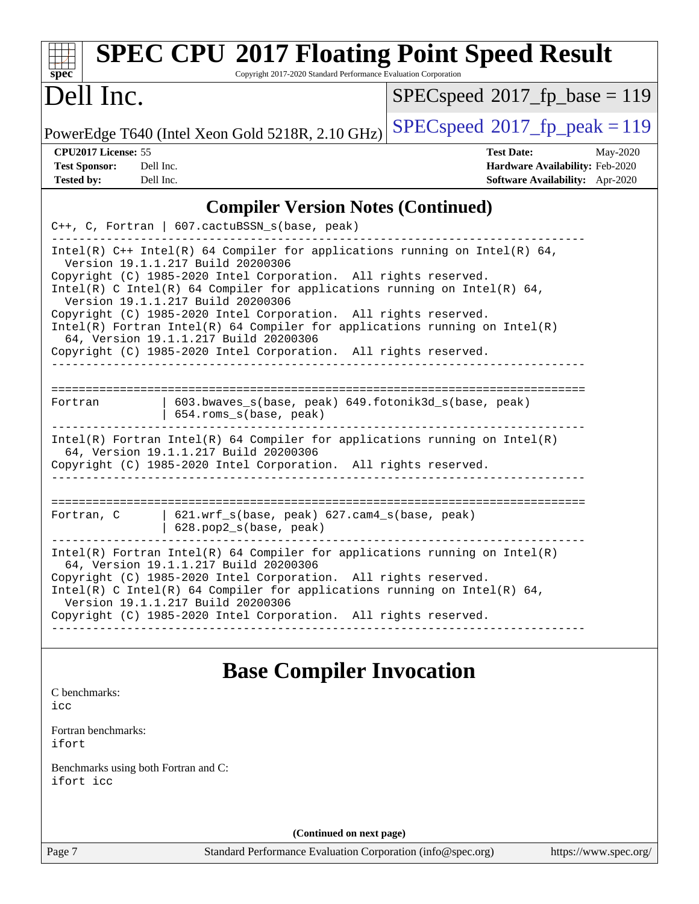| <b>SPEC CPU®2017 Floating Point Speed Result</b><br>Copyright 2017-2020 Standard Performance Evaluation Corporation<br>$spec^*$                                                                                                                                                                                                                                                                                                                                                                                                                                      |                                                                                                     |
|----------------------------------------------------------------------------------------------------------------------------------------------------------------------------------------------------------------------------------------------------------------------------------------------------------------------------------------------------------------------------------------------------------------------------------------------------------------------------------------------------------------------------------------------------------------------|-----------------------------------------------------------------------------------------------------|
| Dell Inc.                                                                                                                                                                                                                                                                                                                                                                                                                                                                                                                                                            | $SPEC speed^{\circ}2017\_fp\_base = 119$                                                            |
| PowerEdge T640 (Intel Xeon Gold 5218R, 2.10 GHz)                                                                                                                                                                                                                                                                                                                                                                                                                                                                                                                     | $SPEC speed^{\circ}2017$ [p_peak = 119                                                              |
| CPU2017 License: 55<br><b>Test Sponsor:</b><br>Dell Inc.<br><b>Tested by:</b><br>Dell Inc.                                                                                                                                                                                                                                                                                                                                                                                                                                                                           | <b>Test Date:</b><br>May-2020<br>Hardware Availability: Feb-2020<br>Software Availability: Apr-2020 |
| <b>Compiler Version Notes (Continued)</b>                                                                                                                                                                                                                                                                                                                                                                                                                                                                                                                            |                                                                                                     |
| C++, C, Fortran   607.cactuBSSN_s(base, peak)                                                                                                                                                                                                                                                                                                                                                                                                                                                                                                                        |                                                                                                     |
| Intel(R) $C++$ Intel(R) 64 Compiler for applications running on Intel(R) 64,<br>Version 19.1.1.217 Build 20200306<br>Copyright (C) 1985-2020 Intel Corporation. All rights reserved.<br>Intel(R) C Intel(R) 64 Compiler for applications running on Intel(R) 64,<br>Version 19.1.1.217 Build 20200306<br>Copyright (C) 1985-2020 Intel Corporation. All rights reserved.<br>$Intel(R)$ Fortran Intel(R) 64 Compiler for applications running on Intel(R)<br>64, Version 19.1.1.217 Build 20200306<br>Copyright (C) 1985-2020 Intel Corporation. All rights reserved. |                                                                                                     |
|                                                                                                                                                                                                                                                                                                                                                                                                                                                                                                                                                                      |                                                                                                     |
| 603.bwaves_s(base, peak) 649.fotonik3d_s(base, peak)<br>Fortran<br>654.roms_s(base, peak)                                                                                                                                                                                                                                                                                                                                                                                                                                                                            |                                                                                                     |
| $Intel(R)$ Fortran Intel(R) 64 Compiler for applications running on Intel(R)<br>64, Version 19.1.1.217 Build 20200306<br>Copyright (C) 1985-2020 Intel Corporation. All rights reserved.                                                                                                                                                                                                                                                                                                                                                                             |                                                                                                     |
| 621.wrf_s(base, peak) 627.cam4_s(base, peak)<br>Fortran, C<br>628.pop2_s(base, peak)                                                                                                                                                                                                                                                                                                                                                                                                                                                                                 |                                                                                                     |
| $Intel(R)$ Fortran Intel(R) 64 Compiler for applications running on Intel(R)<br>64, Version 19.1.1.217 Build 20200306<br>Copyright (C) 1985-2020 Intel Corporation. All rights reserved.<br>Intel(R) C Intel(R) 64 Compiler for applications running on Intel(R) 64,<br>Version 19.1.1.217 Build 20200306<br>Copyright (C) 1985-2020 Intel Corporation. All rights reserved.                                                                                                                                                                                         |                                                                                                     |
|                                                                                                                                                                                                                                                                                                                                                                                                                                                                                                                                                                      |                                                                                                     |
| <b>Base Compiler Invocation</b>                                                                                                                                                                                                                                                                                                                                                                                                                                                                                                                                      |                                                                                                     |
| C benchmarks:<br>icc                                                                                                                                                                                                                                                                                                                                                                                                                                                                                                                                                 |                                                                                                     |
| Fortran benchmarks:<br>ifort                                                                                                                                                                                                                                                                                                                                                                                                                                                                                                                                         |                                                                                                     |
| Benchmarks using both Fortran and C:<br>ifort icc                                                                                                                                                                                                                                                                                                                                                                                                                                                                                                                    |                                                                                                     |

**(Continued on next page)**

Page 7 Standard Performance Evaluation Corporation [\(info@spec.org\)](mailto:info@spec.org) <https://www.spec.org/>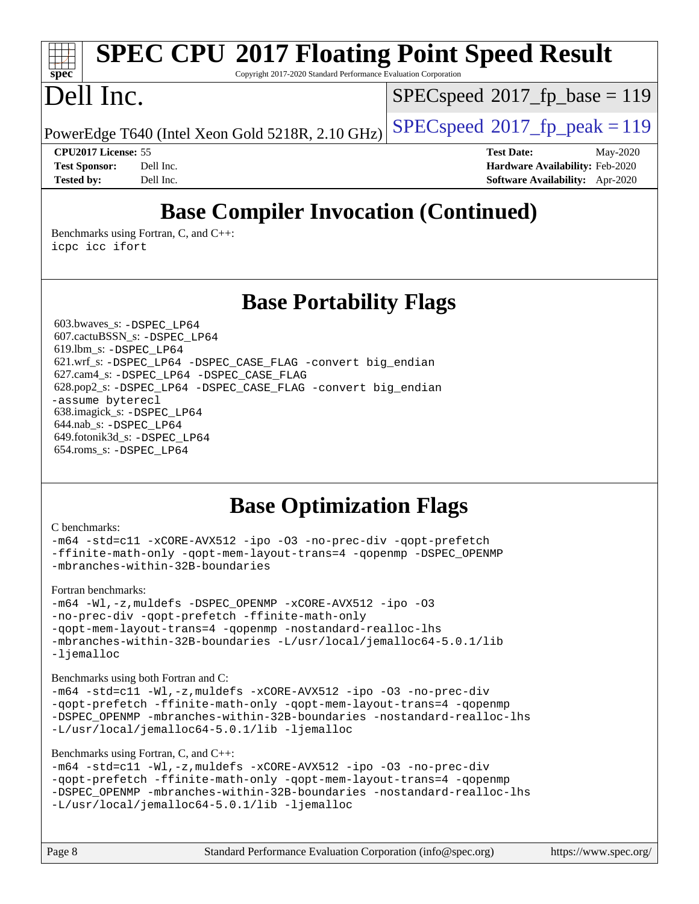# **[SPEC CPU](http://www.spec.org/auto/cpu2017/Docs/result-fields.html#SPECCPU2017FloatingPointSpeedResult)[2017 Floating Point Speed Result](http://www.spec.org/auto/cpu2017/Docs/result-fields.html#SPECCPU2017FloatingPointSpeedResult)**

Copyright 2017-2020 Standard Performance Evaluation Corporation

# Dell Inc.

**[spec](http://www.spec.org/)**

 $SPEC speed^{\circ}2017\_fp\_base = 119$ 

PowerEdge T640 (Intel Xeon Gold 5218R, 2.10 GHz)  $\left|$  [SPECspeed](http://www.spec.org/auto/cpu2017/Docs/result-fields.html#SPECspeed2017fppeak)<sup>®</sup>[2017\\_fp\\_peak = 1](http://www.spec.org/auto/cpu2017/Docs/result-fields.html#SPECspeed2017fppeak)19

**[CPU2017 License:](http://www.spec.org/auto/cpu2017/Docs/result-fields.html#CPU2017License)** 55 **[Test Date:](http://www.spec.org/auto/cpu2017/Docs/result-fields.html#TestDate)** May-2020 **[Test Sponsor:](http://www.spec.org/auto/cpu2017/Docs/result-fields.html#TestSponsor)** Dell Inc. **[Hardware Availability:](http://www.spec.org/auto/cpu2017/Docs/result-fields.html#HardwareAvailability)** Feb-2020 **[Tested by:](http://www.spec.org/auto/cpu2017/Docs/result-fields.html#Testedby)** Dell Inc. **[Software Availability:](http://www.spec.org/auto/cpu2017/Docs/result-fields.html#SoftwareAvailability)** Apr-2020

## **[Base Compiler Invocation \(Continued\)](http://www.spec.org/auto/cpu2017/Docs/result-fields.html#BaseCompilerInvocation)**

[Benchmarks using Fortran, C, and C++:](http://www.spec.org/auto/cpu2017/Docs/result-fields.html#BenchmarksusingFortranCandCXX) [icpc](http://www.spec.org/cpu2017/results/res2020q3/cpu2017-20200803-23622.flags.html#user_CC_CXX_FCbase_intel_icpc_c510b6838c7f56d33e37e94d029a35b4a7bccf4766a728ee175e80a419847e808290a9b78be685c44ab727ea267ec2f070ec5dc83b407c0218cded6866a35d07) [icc](http://www.spec.org/cpu2017/results/res2020q3/cpu2017-20200803-23622.flags.html#user_CC_CXX_FCbase_intel_icc_66fc1ee009f7361af1fbd72ca7dcefbb700085f36577c54f309893dd4ec40d12360134090235512931783d35fd58c0460139e722d5067c5574d8eaf2b3e37e92) [ifort](http://www.spec.org/cpu2017/results/res2020q3/cpu2017-20200803-23622.flags.html#user_CC_CXX_FCbase_intel_ifort_8111460550e3ca792625aed983ce982f94888b8b503583aa7ba2b8303487b4d8a21a13e7191a45c5fd58ff318f48f9492884d4413fa793fd88dd292cad7027ca)

**[Base Portability Flags](http://www.spec.org/auto/cpu2017/Docs/result-fields.html#BasePortabilityFlags)**

 603.bwaves\_s: [-DSPEC\\_LP64](http://www.spec.org/cpu2017/results/res2020q3/cpu2017-20200803-23622.flags.html#suite_basePORTABILITY603_bwaves_s_DSPEC_LP64) 607.cactuBSSN\_s: [-DSPEC\\_LP64](http://www.spec.org/cpu2017/results/res2020q3/cpu2017-20200803-23622.flags.html#suite_basePORTABILITY607_cactuBSSN_s_DSPEC_LP64) 619.lbm\_s: [-DSPEC\\_LP64](http://www.spec.org/cpu2017/results/res2020q3/cpu2017-20200803-23622.flags.html#suite_basePORTABILITY619_lbm_s_DSPEC_LP64) 621.wrf\_s: [-DSPEC\\_LP64](http://www.spec.org/cpu2017/results/res2020q3/cpu2017-20200803-23622.flags.html#suite_basePORTABILITY621_wrf_s_DSPEC_LP64) [-DSPEC\\_CASE\\_FLAG](http://www.spec.org/cpu2017/results/res2020q3/cpu2017-20200803-23622.flags.html#b621.wrf_s_baseCPORTABILITY_DSPEC_CASE_FLAG) [-convert big\\_endian](http://www.spec.org/cpu2017/results/res2020q3/cpu2017-20200803-23622.flags.html#user_baseFPORTABILITY621_wrf_s_convert_big_endian_c3194028bc08c63ac5d04de18c48ce6d347e4e562e8892b8bdbdc0214820426deb8554edfa529a3fb25a586e65a3d812c835984020483e7e73212c4d31a38223) 627.cam4\_s: [-DSPEC\\_LP64](http://www.spec.org/cpu2017/results/res2020q3/cpu2017-20200803-23622.flags.html#suite_basePORTABILITY627_cam4_s_DSPEC_LP64) [-DSPEC\\_CASE\\_FLAG](http://www.spec.org/cpu2017/results/res2020q3/cpu2017-20200803-23622.flags.html#b627.cam4_s_baseCPORTABILITY_DSPEC_CASE_FLAG) 628.pop2\_s: [-DSPEC\\_LP64](http://www.spec.org/cpu2017/results/res2020q3/cpu2017-20200803-23622.flags.html#suite_basePORTABILITY628_pop2_s_DSPEC_LP64) [-DSPEC\\_CASE\\_FLAG](http://www.spec.org/cpu2017/results/res2020q3/cpu2017-20200803-23622.flags.html#b628.pop2_s_baseCPORTABILITY_DSPEC_CASE_FLAG) [-convert big\\_endian](http://www.spec.org/cpu2017/results/res2020q3/cpu2017-20200803-23622.flags.html#user_baseFPORTABILITY628_pop2_s_convert_big_endian_c3194028bc08c63ac5d04de18c48ce6d347e4e562e8892b8bdbdc0214820426deb8554edfa529a3fb25a586e65a3d812c835984020483e7e73212c4d31a38223) [-assume byterecl](http://www.spec.org/cpu2017/results/res2020q3/cpu2017-20200803-23622.flags.html#user_baseFPORTABILITY628_pop2_s_assume_byterecl_7e47d18b9513cf18525430bbf0f2177aa9bf368bc7a059c09b2c06a34b53bd3447c950d3f8d6c70e3faf3a05c8557d66a5798b567902e8849adc142926523472) 638.imagick\_s: [-DSPEC\\_LP64](http://www.spec.org/cpu2017/results/res2020q3/cpu2017-20200803-23622.flags.html#suite_basePORTABILITY638_imagick_s_DSPEC_LP64) 644.nab\_s: [-DSPEC\\_LP64](http://www.spec.org/cpu2017/results/res2020q3/cpu2017-20200803-23622.flags.html#suite_basePORTABILITY644_nab_s_DSPEC_LP64) 649.fotonik3d\_s: [-DSPEC\\_LP64](http://www.spec.org/cpu2017/results/res2020q3/cpu2017-20200803-23622.flags.html#suite_basePORTABILITY649_fotonik3d_s_DSPEC_LP64) 654.roms\_s: [-DSPEC\\_LP64](http://www.spec.org/cpu2017/results/res2020q3/cpu2017-20200803-23622.flags.html#suite_basePORTABILITY654_roms_s_DSPEC_LP64)

### **[Base Optimization Flags](http://www.spec.org/auto/cpu2017/Docs/result-fields.html#BaseOptimizationFlags)**

#### [C benchmarks](http://www.spec.org/auto/cpu2017/Docs/result-fields.html#Cbenchmarks):

```
-m64 -std=c11 -xCORE-AVX512 -ipo -O3 -no-prec-div -qopt-prefetch
-ffinite-math-only -qopt-mem-layout-trans=4 -qopenmp -DSPEC_OPENMP
-mbranches-within-32B-boundaries
```
[Fortran benchmarks](http://www.spec.org/auto/cpu2017/Docs/result-fields.html#Fortranbenchmarks):

```
-m64 -Wl,-z,muldefs -DSPEC_OPENMP -xCORE-AVX512 -ipo -O3
-no-prec-div -qopt-prefetch -ffinite-math-only
-qopt-mem-layout-trans=4 -qopenmp -nostandard-realloc-lhs
-mbranches-within-32B-boundaries -L/usr/local/jemalloc64-5.0.1/lib
-ljemalloc
```
[Benchmarks using both Fortran and C](http://www.spec.org/auto/cpu2017/Docs/result-fields.html#BenchmarksusingbothFortranandC):

```
-m64 -std=c11 -Wl,-z,muldefs -xCORE-AVX512 -ipo -O3 -no-prec-div
-qopt-prefetch -ffinite-math-only -qopt-mem-layout-trans=4 -qopenmp
-DSPEC_OPENMP -mbranches-within-32B-boundaries -nostandard-realloc-lhs
-L/usr/local/jemalloc64-5.0.1/lib -ljemalloc
```
#### [Benchmarks using Fortran, C, and C++:](http://www.spec.org/auto/cpu2017/Docs/result-fields.html#BenchmarksusingFortranCandCXX)

```
-m64 -std=c11 -Wl,-z,muldefs -xCORE-AVX512 -ipo -O3 -no-prec-div
-qopt-prefetch -ffinite-math-only -qopt-mem-layout-trans=4 -qopenmp
-DSPEC_OPENMP -mbranches-within-32B-boundaries -nostandard-realloc-lhs
-L/usr/local/jemalloc64-5.0.1/lib -ljemalloc
```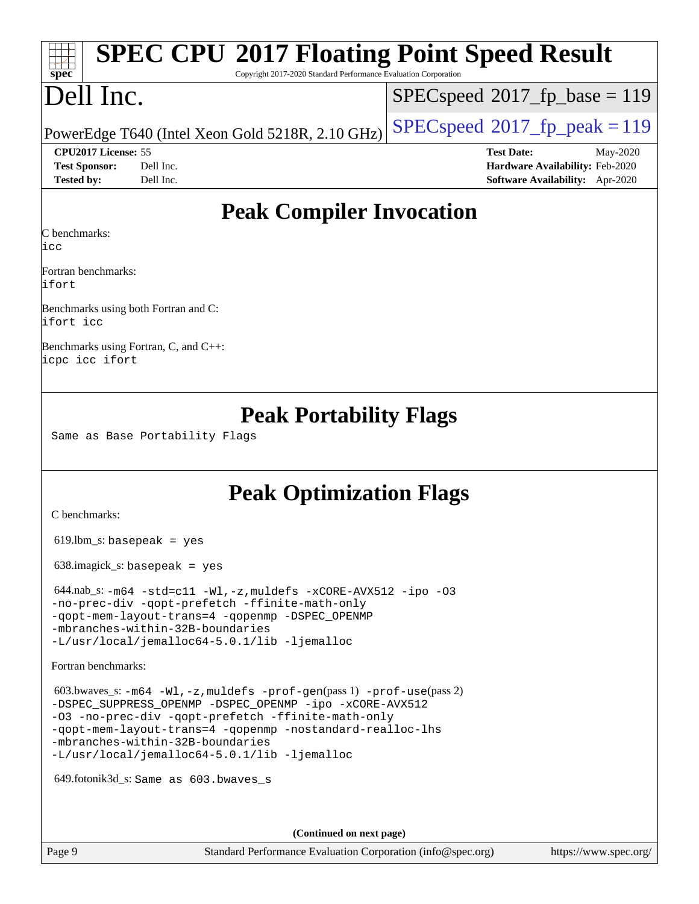# **[SPEC CPU](http://www.spec.org/auto/cpu2017/Docs/result-fields.html#SPECCPU2017FloatingPointSpeedResult)[2017 Floating Point Speed Result](http://www.spec.org/auto/cpu2017/Docs/result-fields.html#SPECCPU2017FloatingPointSpeedResult)**

Copyright 2017-2020 Standard Performance Evaluation Corporation

# Dell Inc.

**[spec](http://www.spec.org/)**

[SPECspeed](http://www.spec.org/auto/cpu2017/Docs/result-fields.html#SPECspeed2017fpbase)<sup>®</sup>2017 fp base = 119

PowerEdge T640 (Intel Xeon Gold 5218R, 2.10 GHz)  $\left|$  [SPECspeed](http://www.spec.org/auto/cpu2017/Docs/result-fields.html#SPECspeed2017fppeak)<sup>®</sup>[2017\\_fp\\_peak = 1](http://www.spec.org/auto/cpu2017/Docs/result-fields.html#SPECspeed2017fppeak)19

**[Test Sponsor:](http://www.spec.org/auto/cpu2017/Docs/result-fields.html#TestSponsor)** Dell Inc. **[Hardware Availability:](http://www.spec.org/auto/cpu2017/Docs/result-fields.html#HardwareAvailability)** Feb-2020 **[Tested by:](http://www.spec.org/auto/cpu2017/Docs/result-fields.html#Testedby)** Dell Inc. **[Software Availability:](http://www.spec.org/auto/cpu2017/Docs/result-fields.html#SoftwareAvailability)** Apr-2020

**[CPU2017 License:](http://www.spec.org/auto/cpu2017/Docs/result-fields.html#CPU2017License)** 55 **[Test Date:](http://www.spec.org/auto/cpu2017/Docs/result-fields.html#TestDate)** May-2020

### **[Peak Compiler Invocation](http://www.spec.org/auto/cpu2017/Docs/result-fields.html#PeakCompilerInvocation)**

[C benchmarks:](http://www.spec.org/auto/cpu2017/Docs/result-fields.html#Cbenchmarks)

[icc](http://www.spec.org/cpu2017/results/res2020q3/cpu2017-20200803-23622.flags.html#user_CCpeak_intel_icc_66fc1ee009f7361af1fbd72ca7dcefbb700085f36577c54f309893dd4ec40d12360134090235512931783d35fd58c0460139e722d5067c5574d8eaf2b3e37e92)

[Fortran benchmarks:](http://www.spec.org/auto/cpu2017/Docs/result-fields.html#Fortranbenchmarks) [ifort](http://www.spec.org/cpu2017/results/res2020q3/cpu2017-20200803-23622.flags.html#user_FCpeak_intel_ifort_8111460550e3ca792625aed983ce982f94888b8b503583aa7ba2b8303487b4d8a21a13e7191a45c5fd58ff318f48f9492884d4413fa793fd88dd292cad7027ca)

[Benchmarks using both Fortran and C:](http://www.spec.org/auto/cpu2017/Docs/result-fields.html#BenchmarksusingbothFortranandC) [ifort](http://www.spec.org/cpu2017/results/res2020q3/cpu2017-20200803-23622.flags.html#user_CC_FCpeak_intel_ifort_8111460550e3ca792625aed983ce982f94888b8b503583aa7ba2b8303487b4d8a21a13e7191a45c5fd58ff318f48f9492884d4413fa793fd88dd292cad7027ca) [icc](http://www.spec.org/cpu2017/results/res2020q3/cpu2017-20200803-23622.flags.html#user_CC_FCpeak_intel_icc_66fc1ee009f7361af1fbd72ca7dcefbb700085f36577c54f309893dd4ec40d12360134090235512931783d35fd58c0460139e722d5067c5574d8eaf2b3e37e92)

[Benchmarks using Fortran, C, and C++](http://www.spec.org/auto/cpu2017/Docs/result-fields.html#BenchmarksusingFortranCandCXX): [icpc](http://www.spec.org/cpu2017/results/res2020q3/cpu2017-20200803-23622.flags.html#user_CC_CXX_FCpeak_intel_icpc_c510b6838c7f56d33e37e94d029a35b4a7bccf4766a728ee175e80a419847e808290a9b78be685c44ab727ea267ec2f070ec5dc83b407c0218cded6866a35d07) [icc](http://www.spec.org/cpu2017/results/res2020q3/cpu2017-20200803-23622.flags.html#user_CC_CXX_FCpeak_intel_icc_66fc1ee009f7361af1fbd72ca7dcefbb700085f36577c54f309893dd4ec40d12360134090235512931783d35fd58c0460139e722d5067c5574d8eaf2b3e37e92) [ifort](http://www.spec.org/cpu2017/results/res2020q3/cpu2017-20200803-23622.flags.html#user_CC_CXX_FCpeak_intel_ifort_8111460550e3ca792625aed983ce982f94888b8b503583aa7ba2b8303487b4d8a21a13e7191a45c5fd58ff318f48f9492884d4413fa793fd88dd292cad7027ca)

#### **[Peak Portability Flags](http://www.spec.org/auto/cpu2017/Docs/result-fields.html#PeakPortabilityFlags)**

Same as Base Portability Flags

### **[Peak Optimization Flags](http://www.spec.org/auto/cpu2017/Docs/result-fields.html#PeakOptimizationFlags)**

[C benchmarks](http://www.spec.org/auto/cpu2017/Docs/result-fields.html#Cbenchmarks):

 $619.$ lbm\_s: basepeak = yes

638.imagick\_s: basepeak = yes

 644.nab\_s: [-m64](http://www.spec.org/cpu2017/results/res2020q3/cpu2017-20200803-23622.flags.html#user_peakCCLD644_nab_s_m64-icc) [-std=c11](http://www.spec.org/cpu2017/results/res2020q3/cpu2017-20200803-23622.flags.html#user_peakCCLD644_nab_s_std-icc-std_0e1c27790398a4642dfca32ffe6c27b5796f9c2d2676156f2e42c9c44eaad0c049b1cdb667a270c34d979996257aeb8fc440bfb01818dbc9357bd9d174cb8524) [-Wl,-z,muldefs](http://www.spec.org/cpu2017/results/res2020q3/cpu2017-20200803-23622.flags.html#user_peakEXTRA_LDFLAGS644_nab_s_link_force_multiple1_b4cbdb97b34bdee9ceefcfe54f4c8ea74255f0b02a4b23e853cdb0e18eb4525ac79b5a88067c842dd0ee6996c24547a27a4b99331201badda8798ef8a743f577) [-xCORE-AVX512](http://www.spec.org/cpu2017/results/res2020q3/cpu2017-20200803-23622.flags.html#user_peakCOPTIMIZE644_nab_s_f-xCORE-AVX512) [-ipo](http://www.spec.org/cpu2017/results/res2020q3/cpu2017-20200803-23622.flags.html#user_peakCOPTIMIZE644_nab_s_f-ipo) [-O3](http://www.spec.org/cpu2017/results/res2020q3/cpu2017-20200803-23622.flags.html#user_peakCOPTIMIZE644_nab_s_f-O3) [-no-prec-div](http://www.spec.org/cpu2017/results/res2020q3/cpu2017-20200803-23622.flags.html#user_peakCOPTIMIZE644_nab_s_f-no-prec-div) [-qopt-prefetch](http://www.spec.org/cpu2017/results/res2020q3/cpu2017-20200803-23622.flags.html#user_peakCOPTIMIZE644_nab_s_f-qopt-prefetch) [-ffinite-math-only](http://www.spec.org/cpu2017/results/res2020q3/cpu2017-20200803-23622.flags.html#user_peakCOPTIMIZE644_nab_s_f_finite_math_only_cb91587bd2077682c4b38af759c288ed7c732db004271a9512da14a4f8007909a5f1427ecbf1a0fb78ff2a814402c6114ac565ca162485bbcae155b5e4258871) [-qopt-mem-layout-trans=4](http://www.spec.org/cpu2017/results/res2020q3/cpu2017-20200803-23622.flags.html#user_peakCOPTIMIZE644_nab_s_f-qopt-mem-layout-trans_fa39e755916c150a61361b7846f310bcdf6f04e385ef281cadf3647acec3f0ae266d1a1d22d972a7087a248fd4e6ca390a3634700869573d231a252c784941a8) [-qopenmp](http://www.spec.org/cpu2017/results/res2020q3/cpu2017-20200803-23622.flags.html#user_peakCOPTIMIZE644_nab_s_qopenmp_16be0c44f24f464004c6784a7acb94aca937f053568ce72f94b139a11c7c168634a55f6653758ddd83bcf7b8463e8028bb0b48b77bcddc6b78d5d95bb1df2967) [-DSPEC\\_OPENMP](http://www.spec.org/cpu2017/results/res2020q3/cpu2017-20200803-23622.flags.html#suite_peakCOPTIMIZE644_nab_s_DSPEC_OPENMP) [-mbranches-within-32B-boundaries](http://www.spec.org/cpu2017/results/res2020q3/cpu2017-20200803-23622.flags.html#user_peakEXTRA_COPTIMIZE644_nab_s_f-mbranches-within-32B-boundaries) [-L/usr/local/jemalloc64-5.0.1/lib](http://www.spec.org/cpu2017/results/res2020q3/cpu2017-20200803-23622.flags.html#user_peakEXTRA_LIBS644_nab_s_jemalloc_link_path64_1_cc289568b1a6c0fd3b62c91b824c27fcb5af5e8098e6ad028160d21144ef1b8aef3170d2acf0bee98a8da324cfe4f67d0a3d0c4cc4673d993d694dc2a0df248b) [-ljemalloc](http://www.spec.org/cpu2017/results/res2020q3/cpu2017-20200803-23622.flags.html#user_peakEXTRA_LIBS644_nab_s_jemalloc_link_lib_d1249b907c500fa1c0672f44f562e3d0f79738ae9e3c4a9c376d49f265a04b9c99b167ecedbf6711b3085be911c67ff61f150a17b3472be731631ba4d0471706)

[Fortran benchmarks](http://www.spec.org/auto/cpu2017/Docs/result-fields.html#Fortranbenchmarks):

 603.bwaves\_s: [-m64](http://www.spec.org/cpu2017/results/res2020q3/cpu2017-20200803-23622.flags.html#user_peakFCLD603_bwaves_s_m64-icc) [-Wl,-z,muldefs](http://www.spec.org/cpu2017/results/res2020q3/cpu2017-20200803-23622.flags.html#user_peakEXTRA_LDFLAGS603_bwaves_s_link_force_multiple1_b4cbdb97b34bdee9ceefcfe54f4c8ea74255f0b02a4b23e853cdb0e18eb4525ac79b5a88067c842dd0ee6996c24547a27a4b99331201badda8798ef8a743f577) [-prof-gen](http://www.spec.org/cpu2017/results/res2020q3/cpu2017-20200803-23622.flags.html#user_peakPASS1_FFLAGSPASS1_LDFLAGS603_bwaves_s_prof_gen_5aa4926d6013ddb2a31985c654b3eb18169fc0c6952a63635c234f711e6e63dd76e94ad52365559451ec499a2cdb89e4dc58ba4c67ef54ca681ffbe1461d6b36)(pass 1) [-prof-use](http://www.spec.org/cpu2017/results/res2020q3/cpu2017-20200803-23622.flags.html#user_peakPASS2_FFLAGSPASS2_LDFLAGS603_bwaves_s_prof_use_1a21ceae95f36a2b53c25747139a6c16ca95bd9def2a207b4f0849963b97e94f5260e30a0c64f4bb623698870e679ca08317ef8150905d41bd88c6f78df73f19)(pass 2) -DSPEC SUPPRESS OPENMP -DSPEC OPENMP [-ipo](http://www.spec.org/cpu2017/results/res2020q3/cpu2017-20200803-23622.flags.html#user_peakPASS1_FOPTIMIZEPASS2_FOPTIMIZE603_bwaves_s_f-ipo) [-xCORE-AVX512](http://www.spec.org/cpu2017/results/res2020q3/cpu2017-20200803-23622.flags.html#user_peakPASS2_FOPTIMIZE603_bwaves_s_f-xCORE-AVX512) [-O3](http://www.spec.org/cpu2017/results/res2020q3/cpu2017-20200803-23622.flags.html#user_peakPASS1_FOPTIMIZEPASS2_FOPTIMIZE603_bwaves_s_f-O3) [-no-prec-div](http://www.spec.org/cpu2017/results/res2020q3/cpu2017-20200803-23622.flags.html#user_peakPASS1_FOPTIMIZEPASS2_FOPTIMIZE603_bwaves_s_f-no-prec-div) [-qopt-prefetch](http://www.spec.org/cpu2017/results/res2020q3/cpu2017-20200803-23622.flags.html#user_peakPASS1_FOPTIMIZEPASS2_FOPTIMIZE603_bwaves_s_f-qopt-prefetch) [-ffinite-math-only](http://www.spec.org/cpu2017/results/res2020q3/cpu2017-20200803-23622.flags.html#user_peakPASS1_FOPTIMIZEPASS2_FOPTIMIZE603_bwaves_s_f_finite_math_only_cb91587bd2077682c4b38af759c288ed7c732db004271a9512da14a4f8007909a5f1427ecbf1a0fb78ff2a814402c6114ac565ca162485bbcae155b5e4258871) [-qopt-mem-layout-trans=4](http://www.spec.org/cpu2017/results/res2020q3/cpu2017-20200803-23622.flags.html#user_peakPASS1_FOPTIMIZEPASS2_FOPTIMIZE603_bwaves_s_f-qopt-mem-layout-trans_fa39e755916c150a61361b7846f310bcdf6f04e385ef281cadf3647acec3f0ae266d1a1d22d972a7087a248fd4e6ca390a3634700869573d231a252c784941a8) [-qopenmp](http://www.spec.org/cpu2017/results/res2020q3/cpu2017-20200803-23622.flags.html#user_peakPASS2_FOPTIMIZE603_bwaves_s_qopenmp_16be0c44f24f464004c6784a7acb94aca937f053568ce72f94b139a11c7c168634a55f6653758ddd83bcf7b8463e8028bb0b48b77bcddc6b78d5d95bb1df2967) [-nostandard-realloc-lhs](http://www.spec.org/cpu2017/results/res2020q3/cpu2017-20200803-23622.flags.html#user_peakEXTRA_FOPTIMIZE603_bwaves_s_f_2003_std_realloc_82b4557e90729c0f113870c07e44d33d6f5a304b4f63d4c15d2d0f1fab99f5daaed73bdb9275d9ae411527f28b936061aa8b9c8f2d63842963b95c9dd6426b8a) [-mbranches-within-32B-boundaries](http://www.spec.org/cpu2017/results/res2020q3/cpu2017-20200803-23622.flags.html#user_peakEXTRA_FOPTIMIZE603_bwaves_s_f-mbranches-within-32B-boundaries) [-L/usr/local/jemalloc64-5.0.1/lib](http://www.spec.org/cpu2017/results/res2020q3/cpu2017-20200803-23622.flags.html#user_peakEXTRA_LIBS603_bwaves_s_jemalloc_link_path64_1_cc289568b1a6c0fd3b62c91b824c27fcb5af5e8098e6ad028160d21144ef1b8aef3170d2acf0bee98a8da324cfe4f67d0a3d0c4cc4673d993d694dc2a0df248b) [-ljemalloc](http://www.spec.org/cpu2017/results/res2020q3/cpu2017-20200803-23622.flags.html#user_peakEXTRA_LIBS603_bwaves_s_jemalloc_link_lib_d1249b907c500fa1c0672f44f562e3d0f79738ae9e3c4a9c376d49f265a04b9c99b167ecedbf6711b3085be911c67ff61f150a17b3472be731631ba4d0471706)

649.fotonik3d\_s: Same as 603.bwaves\_s

**(Continued on next page)**